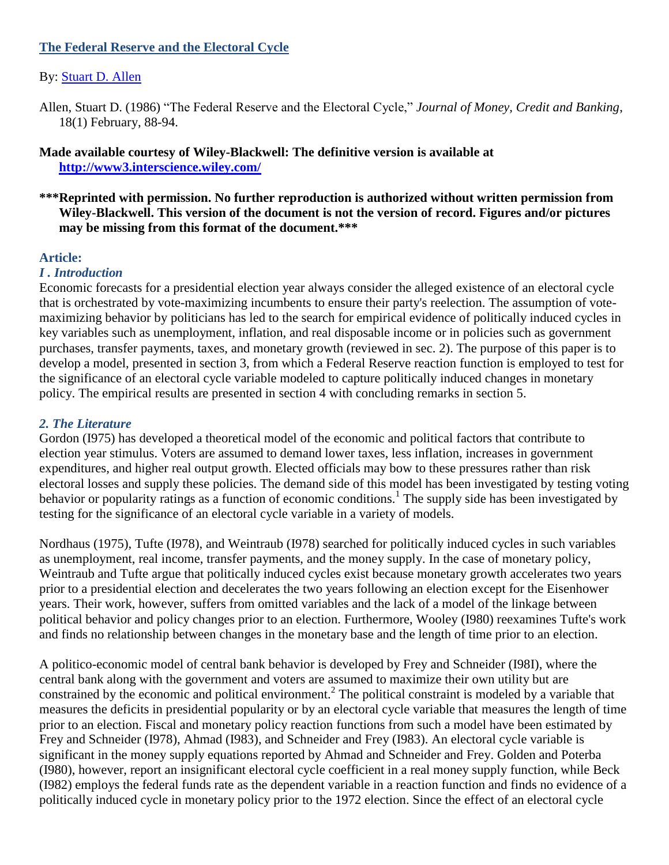## **The Federal Reserve and the Electoral Cycle**

# By: [Stuart D. Allen](http://libres.uncg.edu/ir/uncg/clist.aspx?id=880)

Allen, Stuart D. (1986) "The Federal Reserve and the Electoral Cycle," *Journal of Money, Credit and Banking*, 18(1) February, 88-94.

## **Made available courtesy of Wiley-Blackwell: The definitive version is available at <http://www3.interscience.wiley.com/>**

**\*\*\*Reprinted with permission. No further reproduction is authorized without written permission from Wiley-Blackwell. This version of the document is not the version of record. Figures and/or pictures may be missing from this format of the document.\*\*\***

#### **Article:**

#### *I . Introduction*

Economic forecasts for a presidential election year always consider the alleged existence of an electoral cycle that is orchestrated by vote-maximizing incumbents to ensure their party's reelection. The assumption of votemaximizing behavior by politicians has led to the search for empirical evidence of politically induced cycles in key variables such as unemployment, inflation, and real disposable income or in policies such as government purchases, transfer payments, taxes, and monetary growth (reviewed in sec. 2). The purpose of this paper is to develop a model, presented in section 3, from which a Federal Reserve reaction function is employed to test for the significance of an electoral cycle variable modeled to capture politically induced changes in monetary policy. The empirical results are presented in section 4 with concluding remarks in section 5.

## *2. The Literature*

Gordon (I975) has developed a theoretical model of the economic and political factors that contribute to election year stimulus. Voters are assumed to demand lower taxes, less inflation, increases in government expenditures, and higher real output growth. Elected officials may bow to these pressures rather than risk electoral losses and supply these policies. The demand side of this model has been investigated by testing voting behavior or popularity ratings as a function of economic conditions.<sup>1</sup> The supply side has been investigated by testing for the significance of an electoral cycle variable in a variety of models.

Nordhaus (1975), Tufte (I978), and Weintraub (I978) searched for politically induced cycles in such variables as unemployment, real income, transfer payments, and the money supply. In the case of monetary policy, Weintraub and Tufte argue that politically induced cycles exist because monetary growth accelerates two years prior to a presidential election and decelerates the two years following an election except for the Eisenhower years. Their work, however, suffers from omitted variables and the lack of a model of the linkage between political behavior and policy changes prior to an election. Furthermore, Wooley (I980) reexamines Tufte's work and finds no relationship between changes in the monetary base and the length of time prior to an election.

A politico-economic model of central bank behavior is developed by Frey and Schneider (I98I), where the central bank along with the government and voters are assumed to maximize their own utility but are constrained by the economic and political environment.<sup>2</sup> The political constraint is modeled by a variable that measures the deficits in presidential popularity or by an electoral cycle variable that measures the length of time prior to an election. Fiscal and monetary policy reaction functions from such a model have been estimated by Frey and Schneider (I978), Ahmad (I983), and Schneider and Frey (I983). An electoral cycle variable is significant in the money supply equations reported by Ahmad and Schneider and Frey. Golden and Poterba (I980), however, report an insignificant electoral cycle coefficient in a real money supply function, while Beck (I982) employs the federal funds rate as the dependent variable in a reaction function and finds no evidence of a politically induced cycle in monetary policy prior to the 1972 election. Since the effect of an electoral cycle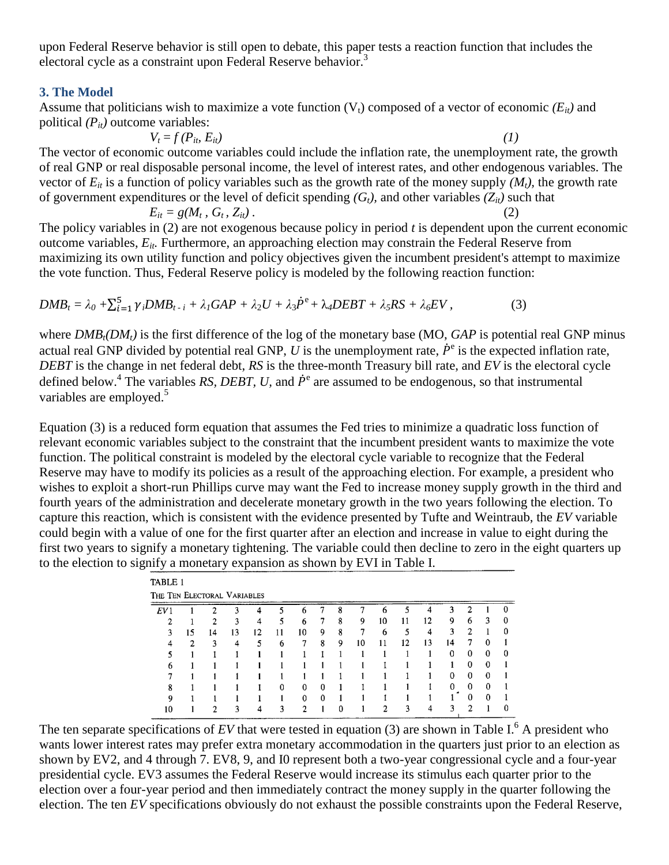upon Federal Reserve behavior is still open to debate, this paper tests a reaction function that includes the electoral cycle as a constraint upon Federal Reserve behavior.<sup>3</sup>

#### **3. The Model**

Assume that politicians wish to maximize a vote function  $(V_t)$  composed of a vector of economic  $(E_{it})$  and political *(Pit)* outcome variables:

 $V_t = f(P_{it}, E_{it})$  (1) The vector of economic outcome variables could include the inflation rate, the unemployment rate, the growth of real GNP or real disposable personal income, the level of interest rates, and other endogenous variables. The vector of  $E_{it}$  is a function of policy variables such as the growth rate of the money supply  $(M_t)$ , the growth rate of government expenditures or the level of deficit spending  $(G_t)$ , and other variables  $(Z_{it})$  such that

 $E_{it} = g(M_t, G_t, Z_{it})$ . *,*  $G_t$ ,  $Z_{it}$ ). (2) The policy variables in (2) are not exogenous because policy in period *t* is dependent upon the current economic outcome variables, *Eit.* Furthermore, an approaching election may constrain the Federal Reserve from

maximizing its own utility function and policy objectives given the incumbent president's attempt to maximize the vote function. Thus, Federal Reserve policy is modeled by the following reaction function:

$$
DMB_t = \lambda_0 + \sum_{i=1}^5 \gamma_i DMB_{t-i} + \lambda_1 GAP + \lambda_2 U + \lambda_3 \dot{P}^{\rm e} + \lambda_4 DEBT + \lambda_5 RS + \lambda_6 EV,\tag{3}
$$

where *DMBt(DMt)* is the first difference of the log of the monetary base (MO, *GAP* is potential real GNP minus actual real GNP divided by potential real GNP, U is the unemployment rate,  $\dot{P}^e$  is the expected inflation rate, *DEBT* is the change in net federal debt, *RS* is the three-month Treasury bill rate, and *EV* is the electoral cycle defined below.<sup>4</sup> The variables RS, DEBT, U, and  $\dot{P}^e$  are assumed to be endogenous, so that instrumental variables are employed. $5$ 

Equation (3) is a reduced form equation that assumes the Fed tries to minimize a quadratic loss function of relevant economic variables subject to the constraint that the incumbent president wants to maximize the vote function. The political constraint is modeled by the electoral cycle variable to recognize that the Federal Reserve may have to modify its policies as a result of the approaching election. For example, a president who wishes to exploit a short-run Phillips curve may want the Fed to increase money supply growth in the third and fourth years of the administration and decelerate monetary growth in the two years following the election. To capture this reaction, which is consistent with the evidence presented by Tufte and Weintraub, the *EV* variable could begin with a value of one for the first quarter after an election and increase in value to eight during the first two years to signify a monetary tightening. The variable could then decline to zero in the eight quarters up to the election to signify a monetary expansion as shown by EVI in Table I.

| TABLE 1                     |    |                |    |    |    |               |          |          |    |                |    |    |          |          |   |          |
|-----------------------------|----|----------------|----|----|----|---------------|----------|----------|----|----------------|----|----|----------|----------|---|----------|
| THE TEN ELECTORAL VARIABLES |    |                |    |    |    |               |          |          |    |                |    |    |          |          |   |          |
| EV 1                        |    | $\mathfrak{D}$ | 3  | 4  | 5  | 6             |          | 8        | 7  | 6              | 5  | 4  | 3        | ↑        |   | $\Omega$ |
| 2                           |    | ာ              | 3  | 4  | 5  | 6             | 7        | 8        | 9  | 10             | 11 | 12 | 9        | 6        | 3 | $\Omega$ |
| ٩                           | 15 | 14             | 13 | 12 | 11 | 10            | 9        | 8        | 7  | 6              | 5  | 4  | 3        | 2        |   | $\Omega$ |
|                             | 2  | ٩              | 4  | 5  | 6  | 7             | 8        | 9        | 10 | 11             | 12 | 13 | 14       |          | 0 |          |
|                             |    |                |    |    |    |               |          |          |    |                |    |    | $\Omega$ | 0        | 0 | $\Omega$ |
| 6                           |    |                |    |    |    |               |          |          |    |                |    |    |          | 0        | 0 |          |
|                             |    |                |    |    |    |               |          |          |    |                |    |    | 0        | 0        | 0 |          |
| 8                           |    |                |    |    | ∩  | $\Omega$      | $\Omega$ |          |    |                |    |    | $\Omega$ | 0        | 0 |          |
| Q                           |    |                |    |    |    | $\Omega$      | $\Omega$ |          |    |                |    |    |          | $\Omega$ | 0 |          |
| 10                          |    | 2              | ٩  | Δ  | 3  | $\mathcal{P}$ |          | $\Omega$ |    | $\mathfrak{D}$ | 3  |    | ٩        | ∍        |   | 0        |

The ten separate specifications of  $EV$  that were tested in equation (3) are shown in Table I.<sup>6</sup> A president who wants lower interest rates may prefer extra monetary accommodation in the quarters just prior to an election as shown by EV2, and 4 through 7. EV8, 9, and I0 represent both a two-year congressional cycle and a four-year presidential cycle. EV3 assumes the Federal Reserve would increase its stimulus each quarter prior to the election over a four-year period and then immediately contract the money supply in the quarter following the election. The ten *EV* specifications obviously do not exhaust the possible constraints upon the Federal Reserve,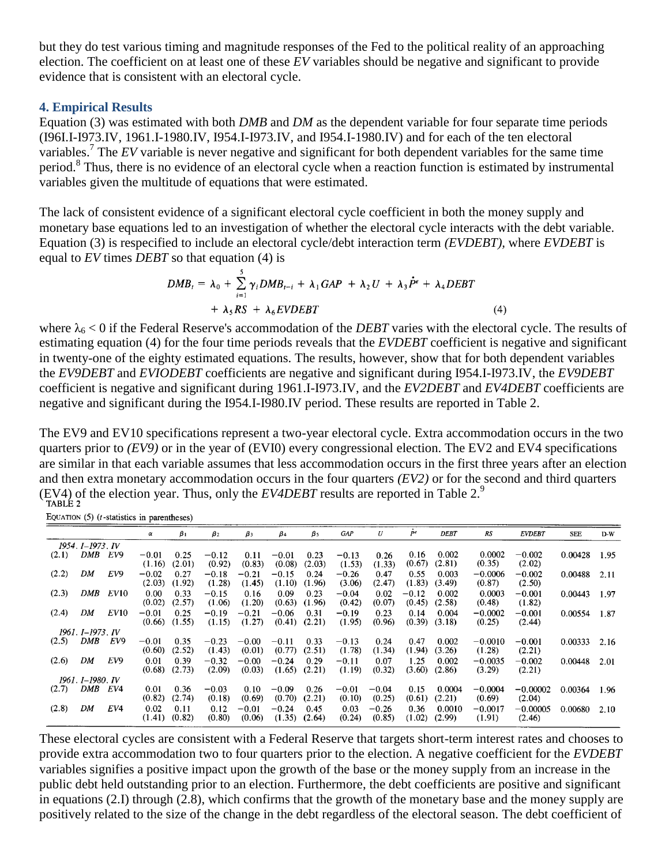but they do test various timing and magnitude responses of the Fed to the political reality of an approaching election. The coefficient on at least one of these *EV* variables should be negative and significant to provide evidence that is consistent with an electoral cycle.

#### **4. Empirical Results**

Equation (3) was estimated with both *DMB* and *DM* as the dependent variable for four separate time periods (I96I.I-I973.IV, 1961.I-1980.IV, I954.I-I973.IV, and I954.I-1980.IV) and for each of the ten electoral variables.<sup>7</sup> The *EV* variable is never negative and significant for both dependent variables for the same time period.<sup>8</sup> Thus, there is no evidence of an electoral cycle when a reaction function is estimated by instrumental variables given the multitude of equations that were estimated.

The lack of consistent evidence of a significant electoral cycle coefficient in both the money supply and monetary base equations led to an investigation of whether the electoral cycle interacts with the debt variable. Equation (3) is respecified to include an electoral cycle/debt interaction term *(EVDEBT),* where *EVDEBT* is equal to *EV* times *DEBT* so that equation (4) is

$$
DMB_t = \lambda_0 + \sum_{i=1}^{5} \gamma_i DMB_{t-i} + \lambda_1 GAP + \lambda_2 U + \lambda_3 \dot{P}^e + \lambda_4 DEBT
$$
  
+  $\lambda_5 RS + \lambda_6 EVDEBT$  (4)

where  $\lambda_6 < 0$  if the Federal Reserve's accommodation of the *DEBT* varies with the electoral cycle. The results of estimating equation (4) for the four time periods reveals that the *EVDEBT* coefficient is negative and significant in twenty-one of the eighty estimated equations. The results, however, show that for both dependent variables the *EV9DEBT* and *EVIODEBT* coefficients are negative and significant during I954.I-I973.IV, the *EV9DEBT*  coefficient is negative and significant during 1961.I-I973.IV, and the *EV2DEBT* and *EV4DEBT* coefficients are negative and significant during the I954.I-I980.IV period. These results are reported in Table 2.

The EV9 and EV10 specifications represent a two-year electoral cycle. Extra accommodation occurs in the two quarters prior to *(EV9)* or in the year of (EVI0) every congressional election. The EV2 and EV4 specifications are similar in that each variable assumes that less accommodation occurs in the first three years after an election and then extra monetary accommodation occurs in the four quarters *(EV2)* or for the second and third quarters (EV4) of the election year. Thus, only the *EV4DEBT* results are reported in Table 2.<sup>9</sup>

EQUATION  $(5)$  (*t*-statistics in parentheses)

|                  |     |                  | α                 | $\beta_1$      | $\beta_2$         | $\beta_3$         | $\beta_4$         | $\beta$ 5      | <b>GAP</b>        | U                 | Pe                | <b>DEBT</b>      | RS                  | <b>EVDEBT</b>        | SEE     | $D-W$ |
|------------------|-----|------------------|-------------------|----------------|-------------------|-------------------|-------------------|----------------|-------------------|-------------------|-------------------|------------------|---------------------|----------------------|---------|-------|
| 1954. I-1973. IV |     |                  |                   |                |                   |                   |                   |                |                   |                   |                   |                  |                     |                      |         |       |
| (2.1)            | DMB | EV9              | $-0.01$<br>(1.16) | 0.25<br>(2.01) | $-0.12$<br>(0.92) | 0.11<br>(0.83)    | $-0.01$<br>(0.08) | 0.23<br>(2.03) | $-0.13$<br>(1.53) | 0.26<br>(1.33)    | 0.16<br>(0.67)    | 0.002<br>(2.81)  | 0.0002<br>(0.35)    | $-0.002$<br>(2.02)   | 0.00428 | 1.95  |
| (2.2)            | DM  | EV9              | $-0.02$<br>(2.03) | 0.27<br>(1.92) | $-0.18$<br>(1.28) | $-0.21$<br>(1.45) | $-0.15$<br>(1.10) | 0.24<br>(1.96) | $-0.26$<br>(3.06) | 0.47<br>(2.47)    | 0.55<br>(1.83)    | 0.003<br>(3.49)  | $-0.0006$<br>(0.87) | $-0.002$<br>(2.50)   | 0.00488 | 2.11  |
| (2.3)            | DMB | EV <sub>10</sub> | 0.00<br>(0.02)    | 0.33<br>(2.57) | $-0.15$<br>(1.06) | 0.16<br>(1.20)    | 0.09<br>(0.63)    | 0.23<br>(1.96) | $-0.04$<br>(0.42) | 0.02<br>(0.07)    | $-0.12$<br>(0.45) | 0.002<br>(2.58)  | 0.0003<br>(0.48)    | $-0.001$<br>(1.82)   | 0.00443 | 1.97  |
| (2.4)            | DM  | EV10             | $-0.01$<br>(0.66) | 0.25<br>(1.55) | $-0.19$<br>(1.15) | $-0.21$<br>(1.27) | $-0.06$<br>(0.41) | 0.31<br>(2.21) | $-0.19$<br>(1.95) | 0.23<br>(0.96)    | 0.14<br>(0.39)    | 0.004<br>(3.18)  | $-0.0002$<br>(0.25) | $-0.001$<br>(2.44)   | 0.00554 | 1.87  |
| 1961. I–1973. IV |     |                  |                   |                |                   |                   |                   |                |                   |                   |                   |                  |                     |                      |         |       |
| (2.5)            | DMB | EV9              | $-0.01$<br>(0.60) | 0.35<br>(2.52) | $-0.23$<br>(1.43) | $-0.00$<br>(0.01) | $-0.11$<br>(0.77) | 0.33<br>(2.51) | $-0.13$<br>(1.78) | 0.24<br>(1.34)    | 0.47<br>(1.94)    | 0.002<br>(3.26)  | $-0.0010$<br>(1.28) | $-0.001$<br>(2.21)   | 0.00333 | 2.16  |
| (2.6)            | DM  | EV9              | 0.01<br>(0.68)    | 0.39<br>(2.73) | $-0.32$<br>(2.09) | $-0.00$<br>(0.03) | $-0.24$<br>(1.65) | 0.29<br>(2.21) | $-0.11$<br>(1.19) | 0.07<br>(0.32)    | 1.25<br>(3.60)    | 0.002<br>(2.86)  | $-0.0035$<br>(3.29) | $-0.002$<br>(2.21)   | 0.00448 | 2.01  |
| 1961. I–1980. IV |     |                  |                   |                |                   |                   |                   |                |                   |                   |                   |                  |                     |                      |         |       |
| (2.7)            | DMB | EV4              | 0.01<br>(0.82)    | 0.36<br>(2.74) | $-0.03$<br>(0.18) | 0.10<br>(0.69)    | $-0.09$<br>(0.70) | 0.26<br>(2.21) | $-0.01$<br>(0.10) | $-0.04$<br>(0.25) | 0.15<br>(0.61)    | 0.0004<br>(2.21) | $-0.0004$<br>(0.69) | $-0.00002$<br>(2.04) | 0.00364 | 1.96  |
| (2.8)            | DM  | EV4              | 0.02<br>(1.41)    | 0.11<br>(0.82) | 0.12<br>(0.80)    | $-0.01$<br>(0.06) | $-0.24$<br>(1.35) | 0.45<br>(2.64) | 0.03<br>(0.24)    | $-0.26$<br>(0.85) | 0.36<br>(1.02)    | 0.0010<br>(2.99) | $-0.0017$<br>(1.91) | $-0.00005$<br>(2.46) | 0.00680 | 2.10  |

These electoral cycles are consistent with a Federal Reserve that targets short-term interest rates and chooses to provide extra accommodation two to four quarters prior to the election. A negative coefficient for the *EVDEBT*  variables signifies a positive impact upon the growth of the base or the money supply from an increase in the public debt held outstanding prior to an election. Furthermore, the debt coefficients are positive and significant in equations (2.I) through (2.8), which confirms that the growth of the monetary base and the money supply are positively related to the size of the change in the debt regardless of the electoral season. The debt coefficient of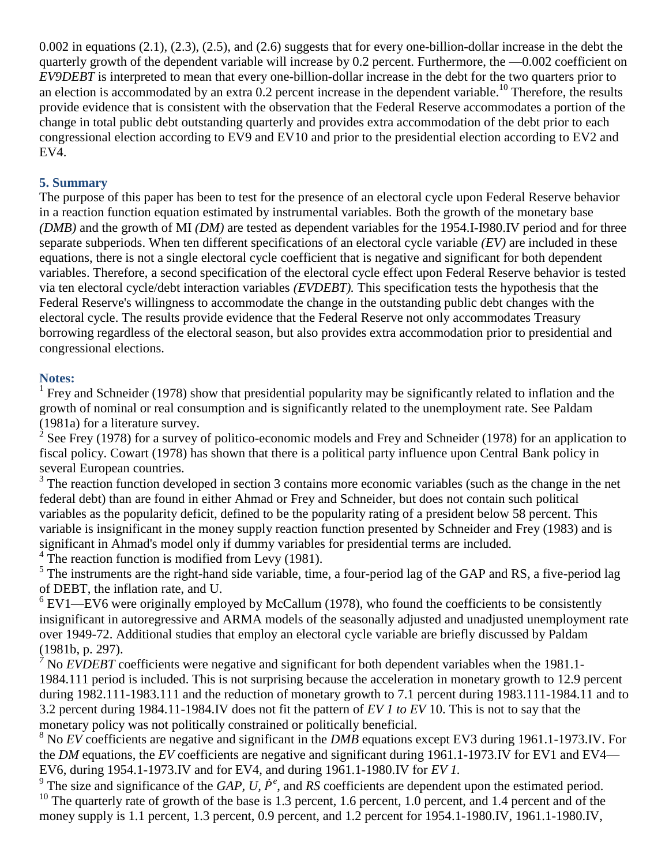0.002 in equations (2.1), (2.3), (2.5), and (2.6) suggests that for every one-billion-dollar increase in the debt the quarterly growth of the dependent variable will increase by 0.2 percent. Furthermore, the —0.002 coefficient on *EV9DEBT* is interpreted to mean that every one-billion-dollar increase in the debt for the two quarters prior to an election is accommodated by an extra  $0.2$  percent increase in the dependent variable.<sup>10</sup> Therefore, the results provide evidence that is consistent with the observation that the Federal Reserve accommodates a portion of the change in total public debt outstanding quarterly and provides extra accommodation of the debt prior to each congressional election according to EV9 and EV10 and prior to the presidential election according to EV2 and EV4.

# **5. Summary**

The purpose of this paper has been to test for the presence of an electoral cycle upon Federal Reserve behavior in a reaction function equation estimated by instrumental variables. Both the growth of the monetary base *(DMB)* and the growth of MI *(DM)* are tested as dependent variables for the 1954.I-I980.IV period and for three separate subperiods. When ten different specifications of an electoral cycle variable *(EV)* are included in these equations, there is not a single electoral cycle coefficient that is negative and significant for both dependent variables. Therefore, a second specification of the electoral cycle effect upon Federal Reserve behavior is tested via ten electoral cycle/debt interaction variables *(EVDEBT).* This specification tests the hypothesis that the Federal Reserve's willingness to accommodate the change in the outstanding public debt changes with the electoral cycle. The results provide evidence that the Federal Reserve not only accommodates Treasury borrowing regardless of the electoral season, but also provides extra accommodation prior to presidential and congressional elections.

## **Notes:**

<sup>1</sup> Frey and Schneider (1978) show that presidential popularity may be significantly related to inflation and the growth of nominal or real consumption and is significantly related to the unemployment rate. See Paldam (1981a) for a literature survey.

 $2^2$  See Frey (1978) for a survey of politico-economic models and Frey and Schneider (1978) for an application to fiscal policy. Cowart (1978) has shown that there is a political party influence upon Central Bank policy in several European countries.

 $3$  The reaction function developed in section 3 contains more economic variables (such as the change in the net federal debt) than are found in either Ahmad or Frey and Schneider, but does not contain such political variables as the popularity deficit, defined to be the popularity rating of a president below 58 percent. This variable is insignificant in the money supply reaction function presented by Schneider and Frey (1983) and is significant in Ahmad's model only if dummy variables for presidential terms are included.

<sup>4</sup> The reaction function is modified from Levy (1981).

 $<sup>5</sup>$  The instruments are the right-hand side variable, time, a four-period lag of the GAP and RS, a five-period lag</sup> of DEBT, the inflation rate, and U.

 $6$  EV1—EV6 were originally employed by McCallum (1978), who found the coefficients to be consistently insignificant in autoregressive and ARMA models of the seasonally adjusted and unadjusted unemployment rate over 1949-72. Additional studies that employ an electoral cycle variable are briefly discussed by Paldam (1981b, p. 297).

 $\overrightarrow{7}$  No *EVDEBT* coefficients were negative and significant for both dependent variables when the 1981.1-1984.111 period is included. This is not surprising because the acceleration in monetary growth to 12.9 percent during 1982.111-1983.111 and the reduction of monetary growth to 7.1 percent during 1983.111-1984.11 and to 3.2 percent during 1984.11-1984.IV does not fit the pattern of *EV 1 to EV* 10. This is not to say that the monetary policy was not politically constrained or politically beneficial.

<sup>8</sup> No *EV* coefficients are negative and significant in the *DMB* equations except EV3 during 1961.1-1973.IV. For the *DM* equations, the *EV* coefficients are negative and significant during 1961.1-1973.IV for EV1 and EV4— EV6, during 1954.1-1973.IV and for EV4, and during 1961.1-1980.IV for *EV 1.*

<sup>9</sup> The size and significance of the *GAP*, *U*,  $\dot{P}^e$ , and *RS* coefficients are dependent upon the estimated period. <sup>10</sup> The quarterly rate of growth of the base is 1.3 percent, 1.6 percent, 1.0 percent, and 1.4 percent and of the money supply is 1.1 percent, 1.3 percent, 0.9 percent, and 1.2 percent for 1954.1-1980.IV, 1961.1-1980.IV,